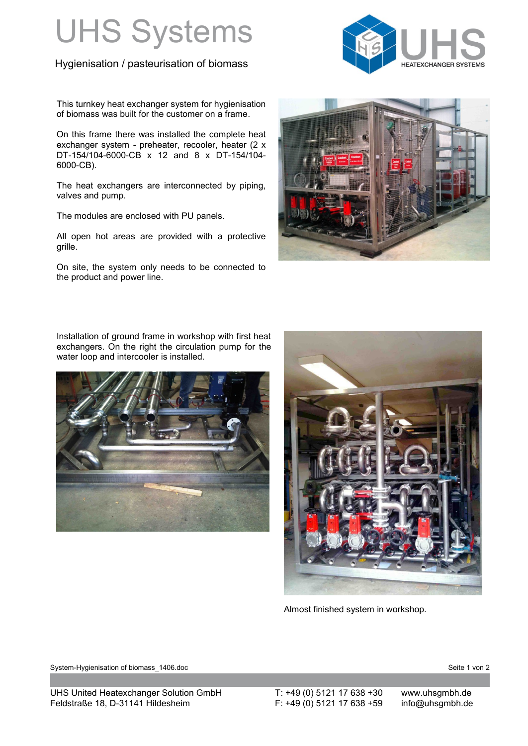## UHS Systems

## Hygienisation / pasteurisation of biomass



This turnkey heat exchanger system for hygienisation of biomass was built for the customer on a frame.

On this frame there was installed the complete heat exchanger system - preheater, recooler, heater (2 x DT-154/104-6000-CB x 12 and 8 x DT-154/104- 6000-CB).

The heat exchangers are interconnected by piping, valves and pump.

The modules are enclosed with PU panels.

All open hot areas are provided with a protective grille.

On site, the system only needs to be connected to the product and power line.



Installation of ground frame in workshop with first heat exchangers. On the right the circulation pump for the water loop and intercooler is installed.





Almost finished system in workshop.

System-Hygienisation of biomass\_1406.doc Seite 1 von 2 and 5 and 5 and 5 and 5 and 5 and 5 and 5 and 5 and 5 and 5 and 5 and 5 and 5 and 5 and 5 and 5 and 5 and 5 and 5 and 5 and 5 and 5 and 5 and 5 and 5 and 5 and 5 and 5